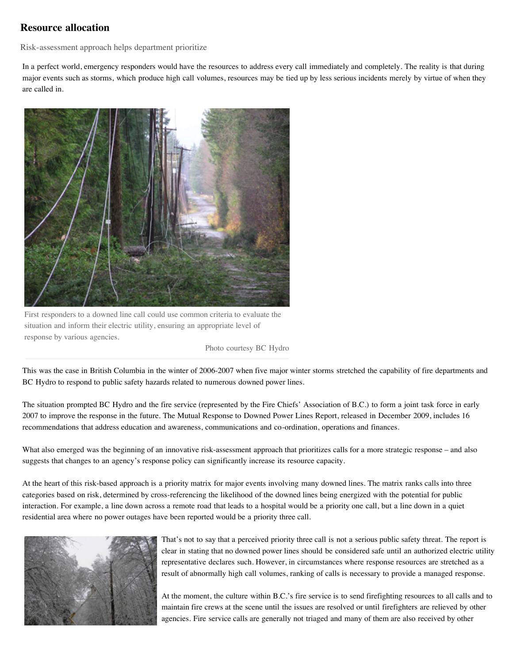## **Resource allocation**

Risk-assessment approach helps department prioritize

In a perfect world, emergency responders would have the resources to address every call immediately and completely. The reality is that during major events such as storms, which produce high call volumes, resources may be tied up by less serious incidents merely by virtue of when they are called in.



First responders to a downed line call could use common criteria to evaluate the situation and inform their electric utility, ensuring an appropriate level of response by various agencies.

Photo courtesy BC Hydro

This was the case in British Columbia in the winter of 2006-2007 when five major winter storms stretched the capability of fire departments and BC Hydro to respond to public safety hazards related to numerous downed power lines.

The situation prompted BC Hydro and the fire service (represented by the Fire Chiefs' Association of B.C.) to form a joint task force in early 2007 to improve the response in the future. The Mutual Response to Downed Power Lines Report, released in December 2009, includes 16 recommendations that address education and awareness, communications and co-ordination, operations and finances.

What also emerged was the beginning of an innovative risk-assessment approach that prioritizes calls for a more strategic response – and also suggests that changes to an agency's response policy can significantly increase its resource capacity.

At the heart of this risk-based approach is a priority matrix for major events involving many downed lines. The matrix ranks calls into three categories based on risk, determined by cross-referencing the likelihood of the downed lines being energized with the potential for public interaction. For example, a line down across a remote road that leads to a hospital would be a priority one call, but a line down in a quiet residential area where no power outages have been reported would be a priority three call.



That's not to say that a perceived priority three call is not a serious public safety threat. The report is clear in stating that no downed power lines should be considered safe until an authorized electric utility representative declares such. However, in circumstances where response resources are stretched as a result of abnormally high call volumes, ranking of calls is necessary to provide a managed response.

At the moment, the culture within B.C.'s fire service is to send firefighting resources to all calls and to maintain fire crews at the scene until the issues are resolved or until firefighters are relieved by other agencies. Fire service calls are generally not triaged and many of them are also received by other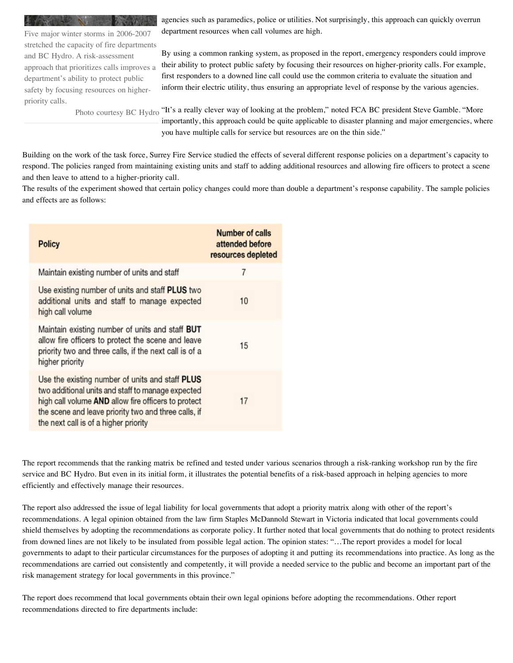Five major winter storms in 2006-2007 stretched the capacity of fire departments and BC Hydro. A risk-assessment approach that prioritizes calls improves a department's ability to protect public safety by focusing resources on higherpriority calls.

agencies such as paramedics, police or utilities. Not surprisingly, this approach can quickly overrun department resources when call volumes are high.

By using a common ranking system, as proposed in the report, emergency responders could improve their ability to protect public safety by focusing their resources on higher-priority calls. For example, first responders to a downed line call could use the common criteria to evaluate the situation and inform their electric utility, thus ensuring an appropriate level of response by the various agencies.

Photo courtesy BC Hydro "It's a really clever way of looking at the problem," noted FCA BC president Steve Gamble. "More importantly, this approach could be quite applicable to disaster planning and major emergencies, where you have multiple calls for service but resources are on the thin side."

Building on the work of the task force, Surrey Fire Service studied the effects of several different response policies on a department's capacity to respond. The policies ranged from maintaining existing units and staff to adding additional resources and allowing fire officers to protect a scene and then leave to attend to a higher-priority call.

The results of the experiment showed that certain policy changes could more than double a department's response capability. The sample policies and effects are as follows:

| <b>Policy</b>                                                                                                                                                                                                                                                | <b>Number of calls</b><br>attended before<br>resources depleted |
|--------------------------------------------------------------------------------------------------------------------------------------------------------------------------------------------------------------------------------------------------------------|-----------------------------------------------------------------|
| Maintain existing number of units and staff                                                                                                                                                                                                                  | 7                                                               |
| Use existing number of units and staff PLUS two<br>additional units and staff to manage expected<br>high call volume                                                                                                                                         | 10                                                              |
| Maintain existing number of units and staff BUT<br>allow fire officers to protect the scene and leave<br>priority two and three calls, if the next call is of a<br>higher priority                                                                           | 15                                                              |
| Use the existing number of units and staff PLUS<br>two additional units and staff to manage expected<br>high call volume AND allow fire officers to protect<br>the scene and leave priority two and three calls, if<br>the next call is of a higher priority | 17                                                              |

The report recommends that the ranking matrix be refined and tested under various scenarios through a risk-ranking workshop run by the fire service and BC Hydro. But even in its initial form, it illustrates the potential benefits of a risk-based approach in helping agencies to more efficiently and effectively manage their resources.

The report also addressed the issue of legal liability for local governments that adopt a priority matrix along with other of the report's recommendations. A legal opinion obtained from the law firm Staples McDannold Stewart in Victoria indicated that local governments could shield themselves by adopting the recommendations as corporate policy. It further noted that local governments that do nothing to protect residents from downed lines are not likely to be insulated from possible legal action. The opinion states: "…The report provides a model for local governments to adapt to their particular circumstances for the purposes of adopting it and putting its recommendations into practice. As long as the recommendations are carried out consistently and competently, it will provide a needed service to the public and become an important part of the risk management strategy for local governments in this province."

The report does recommend that local governments obtain their own legal opinions before adopting the recommendations. Other report recommendations directed to fire departments include: